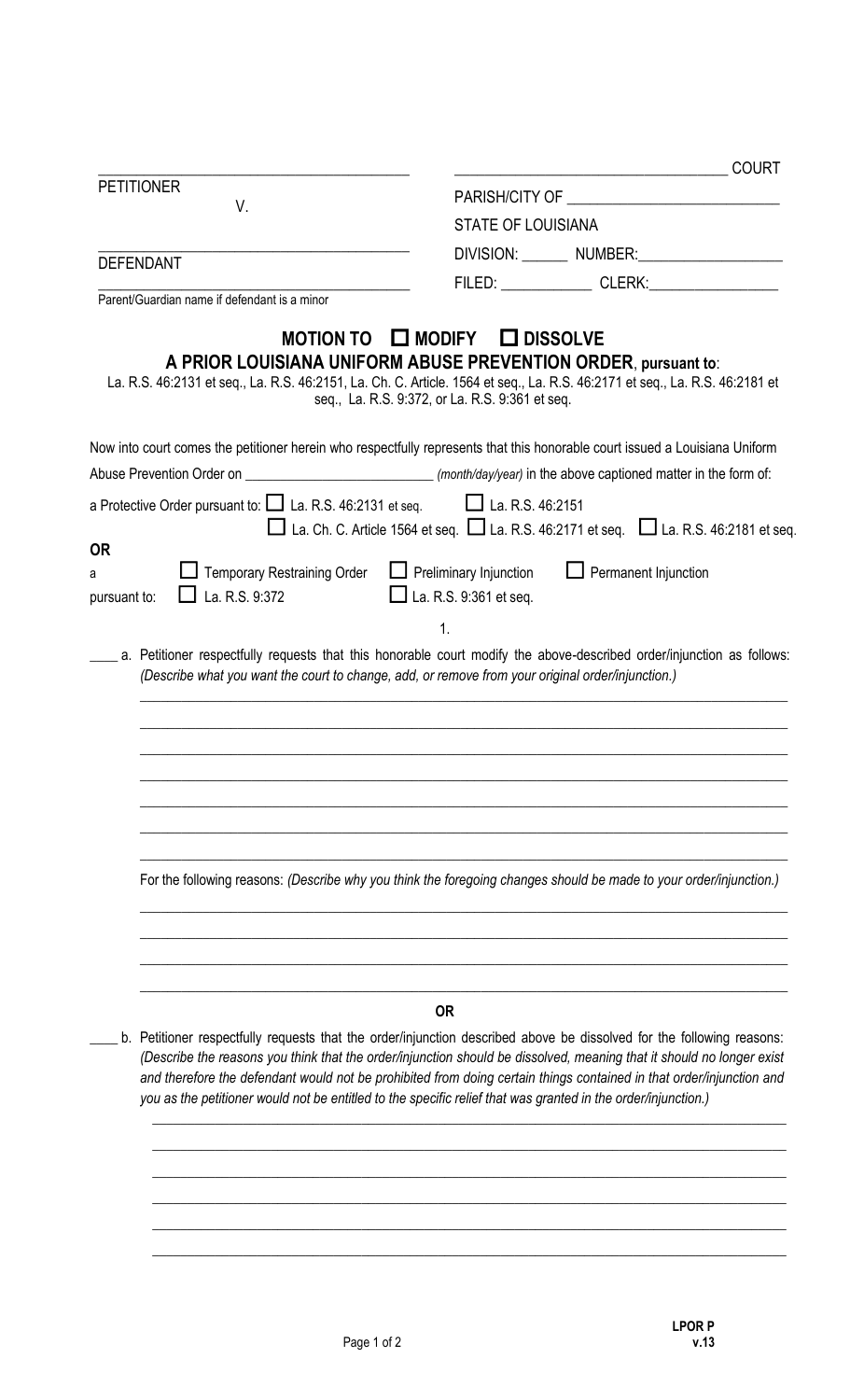| <b>PETITIONER</b>                                                                               | <b>STATE OF LOUISIANA</b>                                                                                                                                                                                                                                                                                                                                                                                                                                                                            |  |  |
|-------------------------------------------------------------------------------------------------|------------------------------------------------------------------------------------------------------------------------------------------------------------------------------------------------------------------------------------------------------------------------------------------------------------------------------------------------------------------------------------------------------------------------------------------------------------------------------------------------------|--|--|
| V.                                                                                              |                                                                                                                                                                                                                                                                                                                                                                                                                                                                                                      |  |  |
|                                                                                                 | DIVISION: NUMBER:                                                                                                                                                                                                                                                                                                                                                                                                                                                                                    |  |  |
| <b>DEFENDANT</b>                                                                                |                                                                                                                                                                                                                                                                                                                                                                                                                                                                                                      |  |  |
| Parent/Guardian name if defendant is a minor                                                    | FILED: CLERK:                                                                                                                                                                                                                                                                                                                                                                                                                                                                                        |  |  |
|                                                                                                 | MOTION TO <b>INODIFY IDISSOLVE</b><br>A PRIOR LOUISIANA UNIFORM ABUSE PREVENTION ORDER, pursuant to:<br>La. R.S. 46:2131 et seq., La. R.S. 46:2151, La. Ch. C. Article. 1564 et seq., La. R.S. 46:2171 et seq., La. R.S. 46:2181 et<br>seq., La. R.S. 9:372, or La. R.S. 9:361 et seq.                                                                                                                                                                                                               |  |  |
|                                                                                                 | Now into court comes the petitioner herein who respectfully represents that this honorable court issued a Louisiana Uniform                                                                                                                                                                                                                                                                                                                                                                          |  |  |
|                                                                                                 |                                                                                                                                                                                                                                                                                                                                                                                                                                                                                                      |  |  |
| a Protective Order pursuant to: $\square$ La. R.S. 46:2131 et seq. $\square$ La. R.S. 46:2151   | $\Box$ La. Ch. C. Article 1564 et seq. $\Box$ La. R.S. 46:2171 et seq. $\Box$ La. R.S. 46:2181 et seq.                                                                                                                                                                                                                                                                                                                                                                                               |  |  |
| <b>OR</b><br><b>L</b> Temporary Restraining Order<br>а<br>$\Box$ La. R.S. 9:372<br>pursuant to: | $\Box$ Preliminary Injunction<br>$\Box$ Permanent Injunction<br>$\Box$ La. R.S. 9:361 et seq.                                                                                                                                                                                                                                                                                                                                                                                                        |  |  |
|                                                                                                 | $\mathbf{1}$ .                                                                                                                                                                                                                                                                                                                                                                                                                                                                                       |  |  |
|                                                                                                 | For the following reasons: (Describe why you think the foregoing changes should be made to your order/injunction.)                                                                                                                                                                                                                                                                                                                                                                                   |  |  |
|                                                                                                 | <b>OR</b><br>b. Petitioner respectfully requests that the order/injunction described above be dissolved for the following reasons:<br>(Describe the reasons you think that the order/injunction should be dissolved, meaning that it should no longer exist<br>and therefore the defendant would not be prohibited from doing certain things contained in that order/injunction and<br>you as the petitioner would not be entitled to the specific relief that was granted in the order/injunction.) |  |  |
|                                                                                                 |                                                                                                                                                                                                                                                                                                                                                                                                                                                                                                      |  |  |